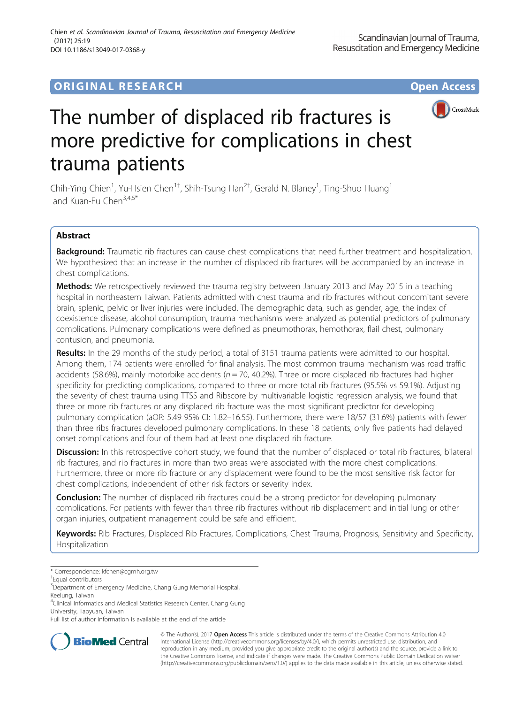## **ORIGINAL RESEARCH CONSUMING ACCESS**





# The number of displaced rib fractures is more predictive for complications in chest trauma patients

Chih-Ying Chien<sup>1</sup>, Yu-Hsien Chen<sup>1†</sup>, Shih-Tsung Han<sup>2†</sup>, Gerald N. Blaney<sup>1</sup>, Ting-Shuo Huang<sup>1</sup> and Kuan-Fu Chen<sup>3,4,5\*</sup>

## Abstract

Background: Traumatic rib fractures can cause chest complications that need further treatment and hospitalization. We hypothesized that an increase in the number of displaced rib fractures will be accompanied by an increase in chest complications.

Methods: We retrospectively reviewed the trauma registry between January 2013 and May 2015 in a teaching hospital in northeastern Taiwan. Patients admitted with chest trauma and rib fractures without concomitant severe brain, splenic, pelvic or liver injuries were included. The demographic data, such as gender, age, the index of coexistence disease, alcohol consumption, trauma mechanisms were analyzed as potential predictors of pulmonary complications. Pulmonary complications were defined as pneumothorax, hemothorax, flail chest, pulmonary contusion, and pneumonia.

Results: In the 29 months of the study period, a total of 3151 trauma patients were admitted to our hospital. Among them, 174 patients were enrolled for final analysis. The most common trauma mechanism was road traffic accidents (58.6%), mainly motorbike accidents ( $n = 70$ , 40.2%). Three or more displaced rib fractures had higher specificity for predicting complications, compared to three or more total rib fractures (95.5% vs 59.1%). Adjusting the severity of chest trauma using TTSS and Ribscore by multivariable logistic regression analysis, we found that three or more rib fractures or any displaced rib fracture was the most significant predictor for developing pulmonary complication (aOR: 5.49 95% CI: 1.82–16.55). Furthermore, there were 18/57 (31.6%) patients with fewer than three ribs fractures developed pulmonary complications. In these 18 patients, only five patients had delayed onset complications and four of them had at least one displaced rib fracture.

Discussion: In this retrospective cohort study, we found that the number of displaced or total rib fractures, bilateral rib fractures, and rib fractures in more than two areas were associated with the more chest complications. Furthermore, three or more rib fracture or any displacement were found to be the most sensitive risk factor for chest complications, independent of other risk factors or severity index.

**Conclusion:** The number of displaced rib fractures could be a strong predictor for developing pulmonary complications. For patients with fewer than three rib fractures without rib displacement and initial lung or other organ injuries, outpatient management could be safe and efficient.

Keywords: Rib Fractures, Displaced Rib Fractures, Complications, Chest Trauma, Prognosis, Sensitivity and Specificity, Hospitalization

Full list of author information is available at the end of the article



© The Author(s). 2017 **Open Access** This article is distributed under the terms of the Creative Commons Attribution 4.0 International License [\(http://creativecommons.org/licenses/by/4.0/](http://creativecommons.org/licenses/by/4.0/)), which permits unrestricted use, distribution, and reproduction in any medium, provided you give appropriate credit to the original author(s) and the source, provide a link to the Creative Commons license, and indicate if changes were made. The Creative Commons Public Domain Dedication waiver [\(http://creativecommons.org/publicdomain/zero/1.0/](http://creativecommons.org/publicdomain/zero/1.0/)) applies to the data made available in this article, unless otherwise stated.

<sup>\*</sup> Correspondence: [kfchen@cgmh.org.tw](mailto:kfchen@cgmh.org.tw) †

Equal contributors

<sup>&</sup>lt;sup>3</sup> Department of Emergency Medicine, Chang Gung Memorial Hospital,

Keelung, Taiwan

<sup>&</sup>lt;sup>4</sup>Clinical Informatics and Medical Statistics Research Center, Chang Gung University, Taoyuan, Taiwan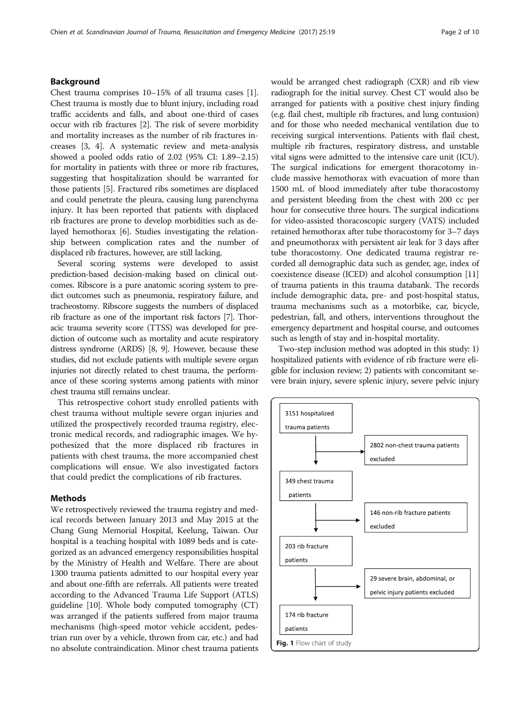### <span id="page-1-0"></span>Background

Chest trauma comprises 10–15% of all trauma cases [[1](#page-8-0)]. Chest trauma is mostly due to blunt injury, including road traffic accidents and falls, and about one-third of cases occur with rib fractures [\[2](#page-8-0)]. The risk of severe morbidity and mortality increases as the number of rib fractures increases [\[3](#page-8-0), [4](#page-8-0)]. A systematic review and meta-analysis showed a pooled odds ratio of 2.02 (95% CI: 1.89–2.15) for mortality in patients with three or more rib fractures, suggesting that hospitalization should be warranted for those patients [\[5\]](#page-8-0). Fractured ribs sometimes are displaced and could penetrate the pleura, causing lung parenchyma injury. It has been reported that patients with displaced rib fractures are prone to develop morbidities such as delayed hemothorax [[6](#page-8-0)]. Studies investigating the relationship between complication rates and the number of displaced rib fractures, however, are still lacking.

Several scoring systems were developed to assist prediction-based decision-making based on clinical outcomes. Ribscore is a pure anatomic scoring system to predict outcomes such as pneumonia, respiratory failure, and tracheostomy. Ribscore suggests the numbers of displaced rib fracture as one of the important risk factors [\[7\]](#page-8-0). Thoracic trauma severity score (TTSS) was developed for prediction of outcome such as mortality and acute respiratory distress syndrome (ARDS) [\[8, 9\]](#page-8-0). However, because these studies, did not exclude patients with multiple severe organ injuries not directly related to chest trauma, the performance of these scoring systems among patients with minor chest trauma still remains unclear.

This retrospective cohort study enrolled patients with chest trauma without multiple severe organ injuries and utilized the prospectively recorded trauma registry, electronic medical records, and radiographic images. We hypothesized that the more displaced rib fractures in patients with chest trauma, the more accompanied chest complications will ensue. We also investigated factors that could predict the complications of rib fractures.

#### Methods

We retrospectively reviewed the trauma registry and medical records between January 2013 and May 2015 at the Chang Gung Memorial Hospital, Keelung, Taiwan. Our hospital is a teaching hospital with 1089 beds and is categorized as an advanced emergency responsibilities hospital by the Ministry of Health and Welfare. There are about 1300 trauma patients admitted to our hospital every year and about one-fifth are referrals. All patients were treated according to the Advanced Trauma Life Support (ATLS) guideline [\[10\]](#page-8-0). Whole body computed tomography (CT) was arranged if the patients suffered from major trauma mechanisms (high-speed motor vehicle accident, pedestrian run over by a vehicle, thrown from car, etc.) and had no absolute contraindication. Minor chest trauma patients would be arranged chest radiograph (CXR) and rib view radiograph for the initial survey. Chest CT would also be arranged for patients with a positive chest injury finding (e.g. flail chest, multiple rib fractures, and lung contusion) and for those who needed mechanical ventilation due to receiving surgical interventions. Patients with flail chest, multiple rib fractures, respiratory distress, and unstable vital signs were admitted to the intensive care unit (ICU). The surgical indications for emergent thoracotomy include massive hemothorax with evacuation of more than 1500 mL of blood immediately after tube thoracostomy and persistent bleeding from the chest with 200 cc per hour for consecutive three hours. The surgical indications for video-assisted thoracoscopic surgery (VATS) included retained hemothorax after tube thoracostomy for 3–7 days and pneumothorax with persistent air leak for 3 days after tube thoracostomy. One dedicated trauma registrar recorded all demographic data such as gender, age, index of coexistence disease (ICED) and alcohol consumption [[11](#page-8-0)] of trauma patients in this trauma databank. The records include demographic data, pre- and post-hospital status, trauma mechanisms such as a motorbike, car, bicycle, pedestrian, fall, and others, interventions throughout the emergency department and hospital course, and outcomes such as length of stay and in-hospital mortality.

Two-step inclusion method was adopted in this study: 1) hospitalized patients with evidence of rib fracture were eligible for inclusion review; 2) patients with concomitant severe brain injury, severe splenic injury, severe pelvic injury

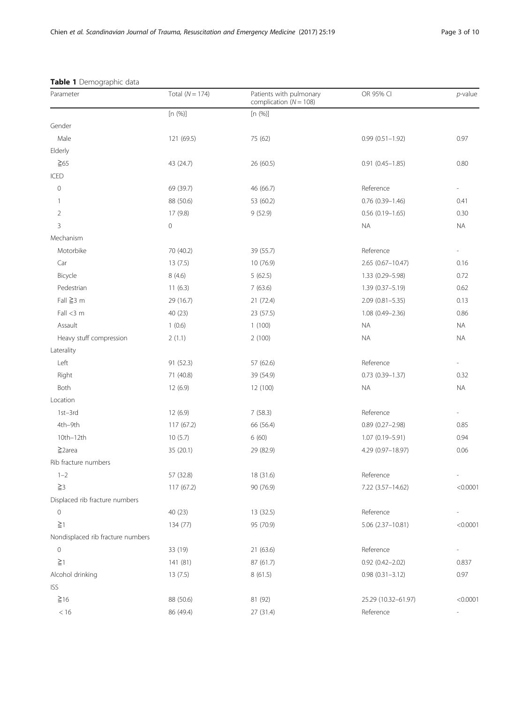| <b>Table I</b> Deffiographic data<br>Parameter | Total $(N = 174)$ | Patients with pulmonary<br>complication ( $N = 108$ ) | OR 95% CI              | $p$ -value |
|------------------------------------------------|-------------------|-------------------------------------------------------|------------------------|------------|
|                                                | [n (%)]           | [n (%)]                                               |                        |            |
| Gender                                         |                   |                                                       |                        |            |
| Male                                           | 121 (69.5)        | 75 (62)                                               | $0.99(0.51 - 1.92)$    | 0.97       |
| Elderly                                        |                   |                                                       |                        |            |
| $\geq 65$                                      | 43 (24.7)         | 26 (60.5)                                             | $0.91(0.45 - 1.85)$    | 0.80       |
| ICED                                           |                   |                                                       |                        |            |
| $\circ$                                        | 69 (39.7)         | 46 (66.7)                                             | Reference              |            |
| $\overline{1}$                                 | 88 (50.6)         | 53 (60.2)                                             | $0.76$ $(0.39-1.46)$   | 0.41       |
| $\overline{2}$                                 | 17 (9.8)          | 9(52.9)                                               | $0.56(0.19 - 1.65)$    | 0.30       |
| 3                                              | 0                 |                                                       | <b>NA</b>              | <b>NA</b>  |
| Mechanism                                      |                   |                                                       |                        |            |
| Motorbike                                      | 70 (40.2)         | 39 (55.7)                                             | Reference              |            |
| Car                                            | 13(7.5)           | 10 (76.9)                                             | $2.65(0.67 - 10.47)$   | 0.16       |
| Bicycle                                        | 8(4.6)            | 5(62.5)                                               | 1.33 (0.29-5.98)       | 0.72       |
| Pedestrian                                     | 11(6.3)           | 7(63.6)                                               | $1.39(0.37 - 5.19)$    | 0.62       |
| Fall $\geq$ 3 m                                | 29 (16.7)         | 21(72.4)                                              | $2.09(0.81 - 5.35)$    | 0.13       |
| Fall < 3 m                                     | 40 (23)           | 23 (57.5)                                             | $1.08(0.49 - 2.36)$    | 0.86       |
| Assault                                        | 1(0.6)            | 1(100)                                                | <b>NA</b>              | <b>NA</b>  |
| Heavy stuff compression                        | 2(1.1)            | 2(100)                                                | <b>NA</b>              | <b>NA</b>  |
| Laterality                                     |                   |                                                       |                        |            |
| Left                                           | 91 (52.3)         | 57 (62.6)                                             | Reference              |            |
| Right                                          | 71 (40.8)         | 39 (54.9)                                             | $0.73(0.39 - 1.37)$    | 0.32       |
| Both                                           | 12 (6.9)          | 12 (100)                                              | <b>NA</b>              | <b>NA</b>  |
| Location                                       |                   |                                                       |                        |            |
| 1st-3rd                                        | 12(6.9)           | 7(58.3)                                               | Reference              |            |
| 4th-9th                                        | 117 (67.2)        | 66 (56.4)                                             | $0.89$ (0.27-2.98)     | 0.85       |
| 10th-12th                                      | 10(5.7)           | 6(60)                                                 | 1.07 (0.19-5.91)       | 0.94       |
| $\geq$ 2area                                   | 35 (20.1)         | 29 (82.9)                                             | 4.29 (0.97-18.97)      | 0.06       |
| Rib fracture numbers                           |                   |                                                       |                        |            |
| $1 - 2$                                        | 57 (32.8)         | 18 (31.6)                                             | Reference              |            |
| $\geq$ 3                                       | 117(67.2)         | 90 (76.9)                                             | 7.22 (3.57-14.62)      | < 0.0001   |
| Displaced rib fracture numbers                 |                   |                                                       |                        |            |
| $\mathbf{0}$                                   | 40 (23)           | 13 (32.5)                                             | Reference              |            |
| $\geq$ 1                                       | 134 (77)          | 95 (70.9)                                             | $5.06(2.37-10.81)$     | < 0.0001   |
| Nondisplaced rib fracture numbers              |                   |                                                       |                        |            |
| $\mathsf{O}\xspace$                            | 33 (19)           | 21(63.6)                                              | Reference              |            |
| $\geq$ 1                                       | 141 (81)          | 87 (61.7)                                             | $0.92$ $(0.42 - 2.02)$ | 0.837      |
| Alcohol drinking                               | 13(7.5)           | 8 (61.5)                                              | $0.98(0.31 - 3.12)$    | 0.97       |
| <b>ISS</b>                                     |                   |                                                       |                        |            |
| $\geq 16$                                      | 88 (50.6)         | 81 (92)                                               | 25.29 (10.32-61.97)    | < 0.0001   |
| < 16                                           | 86 (49.4)         | 27 (31.4)                                             | Reference              |            |

## <span id="page-2-0"></span>Table 1 Demographic data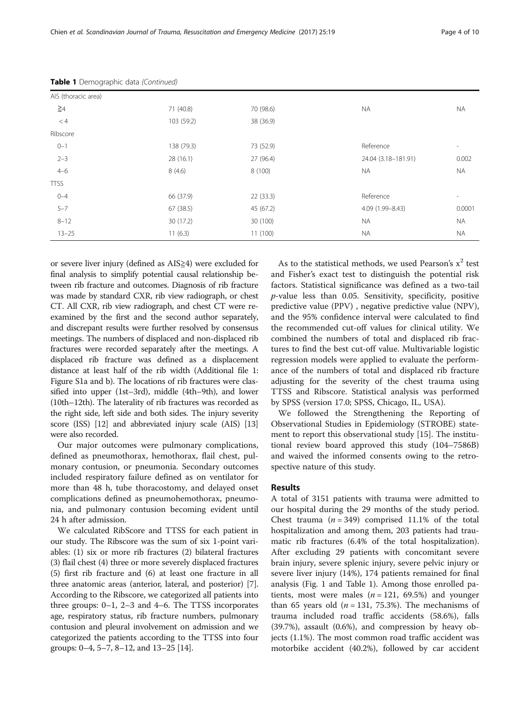| AIS (thoracic area) |            |           |                     |                          |
|---------------------|------------|-----------|---------------------|--------------------------|
| $\geq 4$            | 71 (40.8)  | 70 (98.6) | NA.                 | <b>NA</b>                |
| < 4                 | 103 (59.2) | 38 (36.9) |                     |                          |
| Ribscore            |            |           |                     |                          |
| $0 - 1$             | 138 (79.3) | 73 (52.9) | Reference           | $\overline{\phantom{a}}$ |
| $2 - 3$             | 28(16.1)   | 27 (96.4) | 24.04 (3.18-181.91) | 0.002                    |
| $4 - 6$             | 8(4.6)     | 8 (100)   | <b>NA</b>           | <b>NA</b>                |
| <b>TTSS</b>         |            |           |                     |                          |
| $0 - 4$             | 66 (37.9)  | 22(33.3)  | Reference           | $\overline{\phantom{a}}$ |
| $5 - 7$             | 67(38.5)   | 45 (67.2) | 4.09 (1.99-8.43)    | 0.0001                   |
| $8 - 12$            | 30(17.2)   | 30 (100)  | <b>NA</b>           | <b>NA</b>                |
| $13 - 25$           | 11(6.3)    | 11(100)   | <b>NA</b>           | <b>NA</b>                |

Table 1 Demographic data (Continued)

or severe liver injury (defined as AIS≧4) were excluded for final analysis to simplify potential causal relationship between rib fracture and outcomes. Diagnosis of rib fracture was made by standard CXR, rib view radiograph, or chest CT. All CXR, rib view radiograph, and chest CT were reexamined by the first and the second author separately, and discrepant results were further resolved by consensus meetings. The numbers of displaced and non-displaced rib fractures were recorded separately after the meetings. A displaced rib fracture was defined as a displacement distance at least half of the rib width (Additional file [1](#page-8-0): Figure S1a and b). The locations of rib fractures were classified into upper (1st–3rd), middle (4th–9th), and lower (10th–12th). The laterality of rib fractures was recorded as the right side, left side and both sides. The injury severity score (ISS) [\[12\]](#page-8-0) and abbreviated injury scale (AIS) [[13](#page-8-0)] were also recorded.

Our major outcomes were pulmonary complications, defined as pneumothorax, hemothorax, flail chest, pulmonary contusion, or pneumonia. Secondary outcomes included respiratory failure defined as on ventilator for more than 48 h, tube thoracostomy, and delayed onset complications defined as pneumohemothorax, pneumonia, and pulmonary contusion becoming evident until 24 h after admission.

We calculated RibScore and TTSS for each patient in our study. The Ribscore was the sum of six 1-point variables: (1) six or more rib fractures (2) bilateral fractures (3) flail chest (4) three or more severely displaced fractures (5) first rib fracture and (6) at least one fracture in all three anatomic areas (anterior, lateral, and posterior) [[7](#page-8-0)]. According to the Ribscore, we categorized all patients into three groups: 0–1, 2–3 and 4–6. The TTSS incorporates age, respiratory status, rib fracture numbers, pulmonary contusion and pleural involvement on admission and we categorized the patients according to the TTSS into four groups: 0–4, 5–7, 8–12, and 13–25 [\[14](#page-8-0)].

As to the statistical methods, we used Pearson's  $x^2$  test and Fisher's exact test to distinguish the potential risk factors. Statistical significance was defined as a two-tail  $p$ -value less than 0.05. Sensitivity, specificity, positive predictive value (PPV) , negative predictive value (NPV), and the 95% confidence interval were calculated to find the recommended cut-off values for clinical utility. We combined the numbers of total and displaced rib fractures to find the best cut-off value. Multivariable logistic regression models were applied to evaluate the performance of the numbers of total and displaced rib fracture adjusting for the severity of the chest trauma using TTSS and Ribscore. Statistical analysis was performed by SPSS (version 17.0; SPSS, Chicago, IL, USA).

We followed the Strengthening the Reporting of Observational Studies in Epidemiology (STROBE) statement to report this observational study [[15\]](#page-8-0). The institutional review board approved this study (104–7586B) and waived the informed consents owing to the retrospective nature of this study.

#### Results

A total of 3151 patients with trauma were admitted to our hospital during the 29 months of the study period. Chest trauma  $(n = 349)$  comprised 11.1% of the total hospitalization and among them, 203 patients had traumatic rib fractures (6.4% of the total hospitalization). After excluding 29 patients with concomitant severe brain injury, severe splenic injury, severe pelvic injury or severe liver injury (14%), 174 patients remained for final analysis (Fig. [1](#page-1-0) and Table [1](#page-2-0)). Among those enrolled patients, most were males ( $n = 121, 69.5\%$ ) and younger than 65 years old ( $n = 131, 75.3%$ ). The mechanisms of trauma included road traffic accidents (58.6%), falls (39.7%), assault (0.6%), and compression by heavy objects (1.1%). The most common road traffic accident was motorbike accident (40.2%), followed by car accident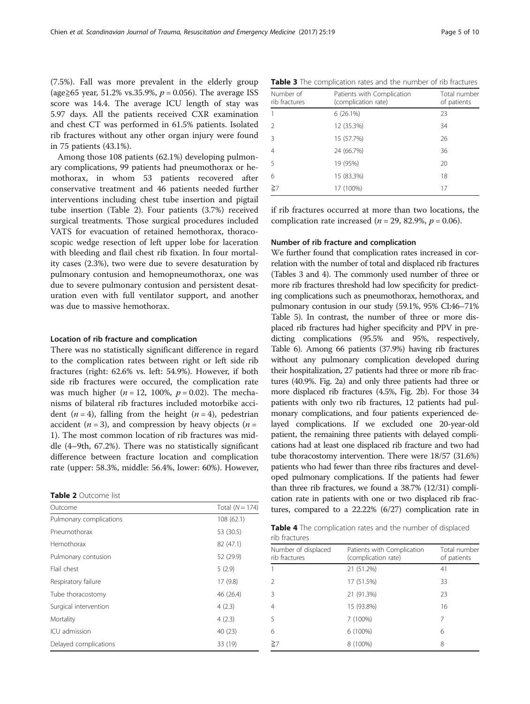(7.5%). Fall was more prevalent in the elderly group (age≥65 year, 51.2% vs.35.9%,  $p = 0.056$ ). The average ISS score was 14.4. The average ICU length of stay was 5.97 days. All the patients received CXR examination and chest CT was performed in 61.5% patients. Isolated rib fractures without any other organ injury were found in 75 patients (43.1%).

Among those 108 patients (62.1%) developing pulmonary complications, 99 patients had pneumothorax or hemothorax, in whom 53 patients recovered after conservative treatment and 46 patients needed further interventions including chest tube insertion and pigtail tube insertion (Table 2). Four patients (3.7%) received surgical treatments. Those surgical procedures included VATS for evacuation of retained hemothorax, thoracoscopic wedge resection of left upper lobe for laceration with bleeding and flail chest rib fixation. In four mortality cases (2.3%), two were due to severe desaturation by pulmonary contusion and hemopneumothorax, one was due to severe pulmonary contusion and persistent desaturation even with full ventilator support, and another was due to massive hemothorax.

#### Location of rib fracture and complication

There was no statistically significant difference in regard to the complication rates between right or left side rib fractures (right: 62.6% vs. left: 54.9%). However, if both side rib fractures were occured, the complication rate was much higher ( $n = 12$ , 100%,  $p = 0.02$ ). The mechanisms of bilateral rib fractures included motorbike accident ( $n = 4$ ), falling from the height ( $n = 4$ ), pedestrian accident ( $n = 3$ ), and compression by heavy objects ( $n =$ 1). The most common location of rib fractures was middle (4–9th, 67.2%). There was no statistically significant difference between fracture location and complication rate (upper: 58.3%, middle: 56.4%, lower: 60%). However,

| <b>Table 2</b> Outcome list |
|-----------------------------|
|                             |

| Outcome                 | Total $(N = 174)$ |
|-------------------------|-------------------|
| Pulmonary complications | 108 (62.1)        |
| Pneumothorax            | 53 (30.5)         |
| Hemothorax              | 82 (47.1)         |
| Pulmonary contusion     | 52 (29.9)         |
| Flail chest             | 5(2.9)            |
| Respiratory failure     | 17(9.8)           |
| Tube thoracostomy       | 46 (26.4)         |
| Surgical intervention   | 4(2.3)            |
| Mortality               | 4(2.3)            |
| ICU admission           | 40 (23)           |
| Delayed complications   | 33 (19)           |

Table 3 The complication rates and the number of rib fractures

| Number of<br>rib fractures | Patients with Complication<br>(complication rate) | Total number<br>of patients |  |  |
|----------------------------|---------------------------------------------------|-----------------------------|--|--|
| $\mathbf{1}$               | $6(26.1\%)$                                       | 23                          |  |  |
| $\mathcal{P}$              | 12 (35.3%)                                        | 34                          |  |  |
| 3                          | 15 (57.7%)                                        | 26                          |  |  |
| $\overline{4}$             | 24 (66.7%)                                        | 36                          |  |  |
| 5                          | 19 (95%)                                          | 20                          |  |  |
| 6                          | 15 (83.3%)                                        | 18                          |  |  |
| $\geq$ 7                   | 17 (100%)                                         | 17                          |  |  |

if rib fractures occurred at more than two locations, the complication rate increased ( $n = 29$ , 82.9%,  $p = 0.06$ ).

#### Number of rib fracture and complication

We further found that complication rates increased in correlation with the number of total and displaced rib fractures (Tables 3 and 4). The commonly used number of three or more rib fractures threshold had low specificity for predicting complications such as pneumothorax, hemothorax, and pulmonary contusion in our study (59.1%, 95% CI:46–71% Table [5](#page-5-0)). In contrast, the number of three or more displaced rib fractures had higher specificity and PPV in predicting complications (95.5% and 95%, respectively, Table [6\)](#page-5-0). Among 66 patients (37.9%) having rib fractures without any pulmonary complication developed during their hospitalization, 27 patients had three or more rib fractures (40.9%. Fig. [2a](#page-6-0)) and only three patients had three or more displaced rib fractures (4.5%, Fig. [2b](#page-6-0)). For those 34 patients with only two rib fractures, 12 patients had pulmonary complications, and four patients experienced delayed complications. If we excluded one 20-year-old patient, the remaining three patients with delayed complications had at least one displaced rib fracture and two had tube thoracostomy intervention. There were 18/57 (31.6%) patients who had fewer than three ribs fractures and developed pulmonary complications. If the patients had fewer than three rib fractures, we found a 38.7% (12/31) complication rate in patients with one or two displaced rib fractures, compared to a 22.22% (6/27) complication rate in

Table 4 The complication rates and the number of displaced rib fractures

| Number of displaced<br>rib fractures | Patients with Complication<br>(complication rate) | Total number<br>of patients |  |
|--------------------------------------|---------------------------------------------------|-----------------------------|--|
|                                      | 21 (51.2%)                                        | 41                          |  |
|                                      | 17 (51.5%)                                        | 33                          |  |
| 3                                    | 21 (91.3%)                                        | 23                          |  |
| 4                                    | 15 (93.8%)                                        | 16                          |  |
| 5                                    | 7 (100%)                                          | 7                           |  |
| 6                                    | 6 (100%)                                          | 6                           |  |
| $\geq$ 7                             | 8 (100%)                                          | 8                           |  |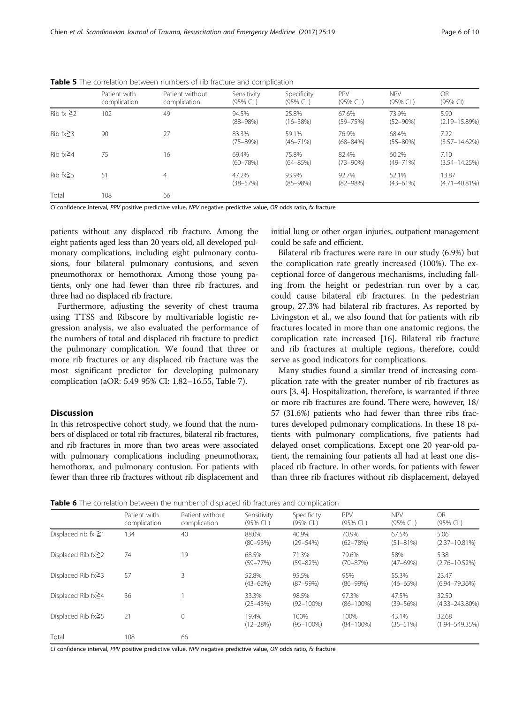|                 | Patient with<br>complication | Patient without<br>complication | Sensitivity<br>(95% CI) | Specificity<br>(95% CI) | PPV<br>(95% CI)        | <b>NPV</b><br>(95% CI) | OR<br>(95% CI)              |
|-----------------|------------------------------|---------------------------------|-------------------------|-------------------------|------------------------|------------------------|-----------------------------|
| Rib fx $\geq$ 2 | 102                          | 49                              | 94.5%<br>$(88 - 98%)$   | 25.8%<br>$(16 - 38\%)$  | 67.6%<br>$(59 - 75%)$  | 73.9%<br>$(52 - 90%)$  | 5.90<br>$(2.19 - 15.89%)$   |
| Rib $fx \geq 3$ | 90                           | 27                              | 83.3%<br>$(75 - 89%)$   | 59.1%<br>$(46 - 71\%)$  | 76.9%<br>$(68 - 84%)$  | 68.4%<br>$(55 - 80\%)$ | 7.22<br>$(3.57 - 14.62\%)$  |
| Rib fx $\geq 4$ | 75                           | 16                              | 69.4%<br>$(60 - 78%)$   | 75.8%<br>$(64 - 85%)$   | 82.4%<br>$(73 - 90\%)$ | 60.2%<br>$(49 - 71\%)$ | 7.10<br>$(3.54 - 14.25%)$   |
| Rib $fx \geq 5$ | 51                           | 4                               | 47.2%<br>$(38 - 57%)$   | 93.9%<br>$(85 - 98%)$   | 92.7%<br>$(82 - 98%)$  | 52.1%<br>$(43 - 61\%)$ | 13.87<br>$(4.71 - 40.81\%)$ |
| Total           | 108                          | 66                              |                         |                         |                        |                        |                             |

<span id="page-5-0"></span>Table 5 The correlation between numbers of rib fracture and complication

CI confidence interval, PPV positive predictive value, NPV negative predictive value, OR odds ratio, fx fracture

patients without any displaced rib fracture. Among the eight patients aged less than 20 years old, all developed pulmonary complications, including eight pulmonary contusions, four bilateral pulmonary contusions, and seven pneumothorax or hemothorax. Among those young patients, only one had fewer than three rib fractures, and three had no displaced rib fracture.

Furthermore, adjusting the severity of chest trauma using TTSS and Ribscore by multivariable logistic regression analysis, we also evaluated the performance of the numbers of total and displaced rib fracture to predict the pulmonary complication. We found that three or more rib fractures or any displaced rib fracture was the most significant predictor for developing pulmonary complication (aOR: 5.49 95% CI: 1.82–16.55, Table [7\)](#page-7-0).

#### **Discussion**

In this retrospective cohort study, we found that the numbers of displaced or total rib fractures, bilateral rib fractures, and rib fractures in more than two areas were associated with pulmonary complications including pneumothorax, hemothorax, and pulmonary contusion. For patients with fewer than three rib fractures without rib displacement and

initial lung or other organ injuries, outpatient management could be safe and efficient.

Bilateral rib fractures were rare in our study (6.9%) but the complication rate greatly increased (100%). The exceptional force of dangerous mechanisms, including falling from the height or pedestrian run over by a car, could cause bilateral rib fractures. In the pedestrian group, 27.3% had bilateral rib fractures. As reported by Livingston et al., we also found that for patients with rib fractures located in more than one anatomic regions, the complication rate increased [[16\]](#page-8-0). Bilateral rib fracture and rib fractures at multiple regions, therefore, could serve as good indicators for complications.

Many studies found a similar trend of increasing complication rate with the greater number of rib fractures as ours [\[3](#page-8-0), [4\]](#page-8-0). Hospitalization, therefore, is warranted if three or more rib fractures are found. There were, however, 18/ 57 (31.6%) patients who had fewer than three ribs fractures developed pulmonary complications. In these 18 patients with pulmonary complications, five patients had delayed onset complications. Except one 20 year-old patient, the remaining four patients all had at least one displaced rib fracture. In other words, for patients with fewer than three rib fractures without rib displacement, delayed

|                           | Patient with<br>complication | Patient without<br>complication | Sensitivity<br>(95% CI) | Specificity<br>(95% CI) | PPV<br>(95% CI)         | <b>NPV</b><br>(95% CI) | OR<br>(95% CI)               |
|---------------------------|------------------------------|---------------------------------|-------------------------|-------------------------|-------------------------|------------------------|------------------------------|
| Displaced rib fx $\geq$ 1 | 134                          | 40                              | 88.0%<br>$(80 - 93%)$   | 40.9%<br>$(29 - 54%)$   | 70.9%<br>$(62 - 78%)$   | 67.5%<br>$(51 - 81\%)$ | 5.06<br>$(2.37 - 10.81\%)$   |
| Displaced Rib $fx \geq 2$ | 74                           | 19                              | 68.5%<br>$(59 - 77%)$   | 71.3%<br>$(59 - 82%)$   | 79.6%<br>$(70 - 87%)$   | 58%<br>$(47 - 69%)$    | 5.38<br>$(2.76 - 10.52%)$    |
| Displaced Rib $fx \geq 3$ | 57                           | 3                               | 52.8%<br>$(43 - 62%)$   | 95.5%<br>$(87 - 99%)$   | 95%<br>$(86 - 99%)$     | 55.3%<br>$(46 - 65%)$  | 23.47<br>$(6.94 - 79.36\%)$  |
| Displaced Rib $fx \geq 4$ | 36                           |                                 | 33.3%<br>$(25 - 43%)$   | 98.5%<br>$(92 - 100\%)$ | 97.3%<br>$(86 - 100\%)$ | 47.5%<br>$(39 - 56%)$  | 32.50<br>$(4.33 - 243.80\%)$ |
| Displaced Rib fx≥5        | 21                           | 0                               | 19.4%<br>$(12 - 28%)$   | 100%<br>$(95 - 100\%)$  | 100%<br>$(84 - 100\%)$  | 43.1%<br>$(35 - 51%)$  | 32.68<br>$(1.94 - 549.35%)$  |
| Total                     | 108                          | 66                              |                         |                         |                         |                        |                              |

CI confidence interval, PPV positive predictive value, NPV negative predictive value, OR odds ratio, fx fracture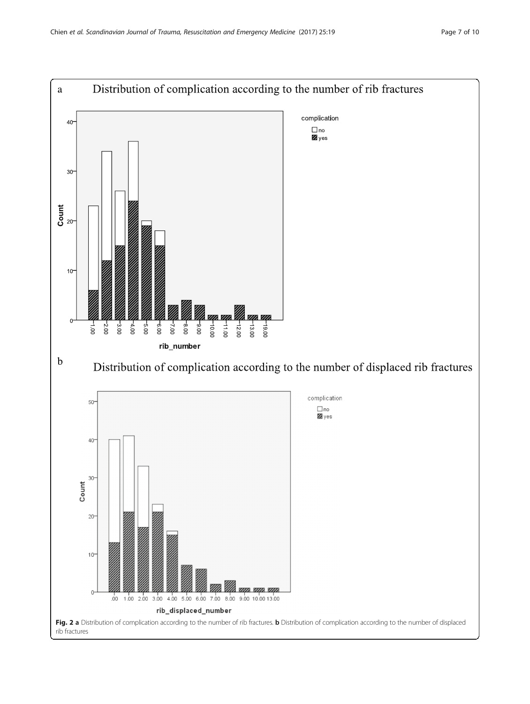<span id="page-6-0"></span>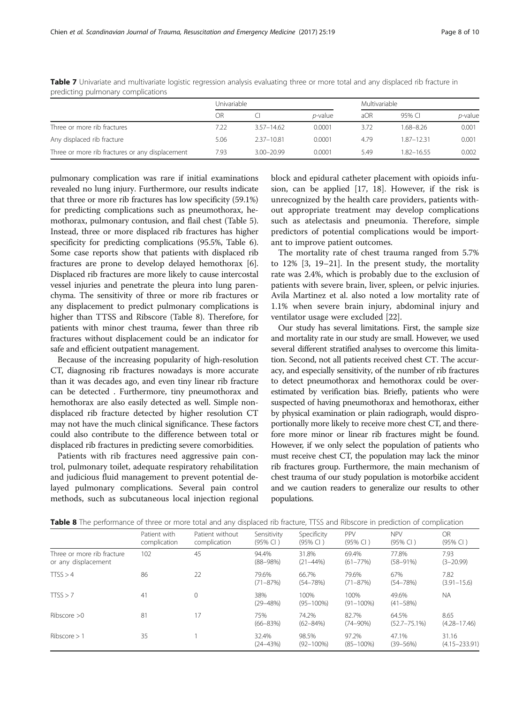|                                                 | Univariable |                |                 | Multivariable |            |                 |
|-------------------------------------------------|-------------|----------------|-----------------|---------------|------------|-----------------|
|                                                 | ΟR          |                | <i>p</i> -value | aOR           | 95% CI     | <i>p</i> -value |
| Three or more rib fractures                     | 7.22        | $3.57 - 14.62$ | 0.0001          | 3.72          | 1.68–8.26  | 0.001           |
| Any displaced rib fracture                      | 5.06        | 2.37-10.81     | 0.0001          | 4.79          | 1.87-12.31 | 0.001           |
| Three or more rib fractures or any displacement | 7.93        | $3.00 - 20.99$ | 0.0001          | 5.49          | 1.82-16.55 | 0.002           |

<span id="page-7-0"></span>Table 7 Univariate and multivariate logistic regression analysis evaluating three or more total and any displaced rib fracture in predicting pulmonary complications

pulmonary complication was rare if initial examinations revealed no lung injury. Furthermore, our results indicate that three or more rib fractures has low specificity (59.1%) for predicting complications such as pneumothorax, hemothorax, pulmonary contusion, and flail chest (Table [5](#page-5-0)). Instead, three or more displaced rib fractures has higher specificity for predicting complications (95.5%, Table [6](#page-5-0)). Some case reports show that patients with displaced rib fractures are prone to develop delayed hemothorax [[6](#page-8-0)]. Displaced rib fractures are more likely to cause intercostal vessel injuries and penetrate the pleura into lung parenchyma. The sensitivity of three or more rib fractures or any displacement to predict pulmonary complications is higher than TTSS and Ribscore (Table 8). Therefore, for patients with minor chest trauma, fewer than three rib fractures without displacement could be an indicator for safe and efficient outpatient management.

Because of the increasing popularity of high-resolution CT, diagnosing rib fractures nowadays is more accurate than it was decades ago, and even tiny linear rib fracture can be detected . Furthermore, tiny pneumothorax and hemothorax are also easily detected as well. Simple nondisplaced rib fracture detected by higher resolution CT may not have the much clinical significance. These factors could also contribute to the difference between total or displaced rib fractures in predicting severe comorbidities.

Patients with rib fractures need aggressive pain control, pulmonary toilet, adequate respiratory rehabilitation and judicious fluid management to prevent potential delayed pulmonary complications. Several pain control methods, such as subcutaneous local injection regional block and epidural catheter placement with opioids infusion, can be applied [[17](#page-9-0), [18\]](#page-9-0). However, if the risk is unrecognized by the health care providers, patients without appropriate treatment may develop complications such as atelectasis and pneumonia. Therefore, simple predictors of potential complications would be important to improve patient outcomes.

The mortality rate of chest trauma ranged from 5.7% to 12% [\[3](#page-8-0), [19](#page-9-0)–[21](#page-9-0)]. In the present study, the mortality rate was 2.4%, which is probably due to the exclusion of patients with severe brain, liver, spleen, or pelvic injuries. Avila Martinez et al. also noted a low mortality rate of 1.1% when severe brain injury, abdominal injury and ventilator usage were excluded [[22\]](#page-9-0).

Our study has several limitations. First, the sample size and mortality rate in our study are small. However, we used several different stratified analyses to overcome this limitation. Second, not all patients received chest CT. The accuracy, and especially sensitivity, of the number of rib fractures to detect pneumothorax and hemothorax could be overestimated by verification bias. Briefly, patients who were suspected of having pneumothorax and hemothorax, either by physical examination or plain radiograph, would disproportionally more likely to receive more chest CT, and therefore more minor or linear rib fractures might be found. However, if we only select the population of patients who must receive chest CT, the population may lack the minor rib fractures group. Furthermore, the main mechanism of chest trauma of our study population is motorbike accident and we caution readers to generalize our results to other populations.

|                                                   | Patient with<br>complication | Patient without<br>complication | Sensitivity<br>(95% CI) | Specificity<br>(95% CI) | PPV<br>(95% CI)         | <b>NPV</b><br>(95% CI)     | <b>OR</b><br>(95% CI)      |
|---------------------------------------------------|------------------------------|---------------------------------|-------------------------|-------------------------|-------------------------|----------------------------|----------------------------|
| Three or more rib fracture<br>or any displacement | 102                          | 45                              | 94.4%<br>$(88 - 98%)$   | 31.8%<br>$(21 - 44%)$   | 69.4%<br>$(61 - 77\%)$  | 77.8%<br>$(58 - 91%)$      | 7.93<br>$(3 - 20.99)$      |
| TISS > 4                                          | 86                           | 22                              | 79.6%<br>$(71 - 87%)$   | 66.7%<br>$(54 - 78%)$   | 79.6%<br>$(71 - 87%)$   | 67%<br>$(54 - 78%)$        | 7.82<br>$(3.91 - 15.6)$    |
| TTSS > 7                                          | 41                           | 0                               | 38%<br>$(29 - 48%)$     | 100%<br>$(95 - 100\%)$  | 100%<br>$(91 - 100\%)$  | 49.6%<br>$(41 - 58%)$      | <b>NA</b>                  |
| Ribscore $>0$                                     | 81                           | 17                              | 75%<br>$(66 - 83%)$     | 74.2%<br>$(62 - 84%)$   | 82.7%<br>$(74 - 90\%)$  | 64.5%<br>$(52.7 - 75.1\%)$ | 8.65<br>$(4.28 - 17.46)$   |
| Ribscore > 1                                      | 35                           |                                 | 32.4%<br>$(24 - 43%)$   | 98.5%<br>$(92 - 100\%)$ | 97.2%<br>$(85 - 100\%)$ | 47.1%<br>$(39 - 56%)$      | 31.16<br>$(4.15 - 233.91)$ |

Table 8 The performance of three or more total and any displaced rib fracture, TTSS and Ribscore in prediction of complication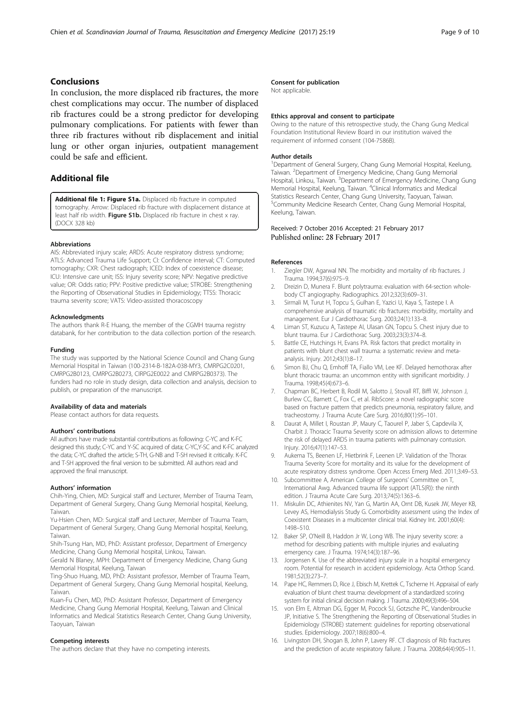#### <span id="page-8-0"></span>Conclusions

In conclusion, the more displaced rib fractures, the more chest complications may occur. The number of displaced rib fractures could be a strong predictor for developing pulmonary complications. For patients with fewer than three rib fractures without rib displacement and initial lung or other organ injuries, outpatient management could be safe and efficient.

## Additional file

[Additional file 1: Figure S1a.](dx.doi.org/10.1186/s13049-017-0368-y) Displaced rib fracture in computed tomography. Arrow: Displaced rib fracture with displacement distance at least half rib width. Figure S1b. Displaced rib fracture in chest x ray. (DOCX 328 kb)

#### Abbreviations

AIS: Abbreviated injury scale; ARDS: Acute respiratory distress syndrome; ATLS: Advanced Trauma Life Support; CI: Confidence interval; CT: Computed tomography; CXR: Chest radiograph; ICED: Index of coexistence disease; ICU: Intensive care unit; ISS: Injury severity score; NPV: Negative predictive value; OR: Odds ratio; PPV: Positive predictive value; STROBE: Strengthening the Reporting of Observational Studies in Epidemiology; TTSS: Thoracic trauma severity score; VATS: Video-assisted thoracoscopy

#### **Acknowledaments**

The authors thank R-E Huang, the member of the CGMH trauma registry databank, for her contribution to the data collection portion of the research.

#### Funding

The study was supported by the National Science Council and Chang Gung Memorial Hospital in Taiwan (100-2314-B-182A-038-MY3, CMRPG2C0201, CMRPG2B0123, CMRPG2B0273, CIRPG2E0022 and CMRPG2B0373). The funders had no role in study design, data collection and analysis, decision to publish, or preparation of the manuscript.

#### Availability of data and materials

Please contact authors for data requests.

#### Authors' contributions

All authors have made substantial contributions as following: C-YC and K-FC designed this study; C-YC and Y-SC acquired of data; C-YC,Y-SC and K-FC analyzed the data; C-YC drafted the article; S-TH, G-NB and T-SH revised it critically. K-FC and T-SH approved the final version to be submitted. All authors read and approved the final manuscript.

#### Authors' information

Chih-Ying, Chien, MD: Surgical staff and Lecturer, Member of Trauma Team, Department of General Surgery, Chang Gung Memorial hospital, Keelung, Taiwan.

Yu-Hsien Chen, MD: Surgical staff and Lecturer, Member of Trauma Team, Department of General Surgery, Chang Gung Memorial hospital, Keelung, Taiwan.

Shih-Tsung Han, MD, PhD: Assistant professor, Department of Emergency Medicine, Chang Gung Memorial hospital, Linkou, Taiwan.

Gerald N Blaney, MPH: Department of Emergency Medicine, Chang Gung Memorial Hospital, Keelung, Taiwan

Ting-Shuo Huang, MD, PhD: Assistant professor, Member of Trauma Team, Department of General Surgery, Chang Gung Memorial hospital, Keelung, Taiwan.

Kuan-Fu Chen, MD, PhD: Assistant Professor, Department of Emergency Medicine, Chang Gung Memorial Hospital, Keelung, Taiwan and Clinical Informatics and Medical Statistics Research Center, Chang Gung University, Taoyuan, Taiwan

#### Competing interests

The authors declare that they have no competing interests.

#### Consent for publication

Not applicable.

#### Ethics approval and consent to participate

Owing to the nature of this retrospective study, the Chang Gung Medical Foundation Institutional Review Board in our institution waived the requirement of informed consent (104-7586B).

#### Author details

<sup>1</sup>Department of General Surgery, Chang Gung Memorial Hospital, Keelung Taiwan. <sup>2</sup> Department of Emergency Medicine, Chang Gung Memorial Hospital, Linkou, Taiwan. <sup>3</sup>Department of Emergency Medicine, Chang Gung Memorial Hospital, Keelung, Taiwan. <sup>4</sup> Clinical Informatics and Medical Statistics Research Center, Chang Gung University, Taoyuan, Taiwan. 5 Community Medicine Research Center, Chang Gung Memorial Hospital, Keelung, Taiwan.

## Received: 7 October 2016 Accepted: 21 February 2017

#### References

- Ziegler DW, Agarwal NN. The morbidity and mortality of rib fractures. J Trauma. 1994;37(6):975–9.
- 2. Dreizin D, Munera F. Blunt polytrauma: evaluation with 64-section wholebody CT angiography. Radiographics. 2012;32(3):609–31.
- Sirmali M, Turut H, Topcu S, Gulhan E, Yazici U, Kaya S, Tastepe I. A comprehensive analysis of traumatic rib fractures: morbidity, mortality and management. Eur J Cardiothorac Surg. 2003;24(1):133–8.
- 4. Liman ST, Kuzucu A, Tastepe AI, Ulasan GN, Topcu S. Chest injury due to blunt trauma. Eur J Cardiothorac Surg. 2003;23(3):374–8.
- 5. Battle CE, Hutchings H, Evans PA. Risk factors that predict mortality in patients with blunt chest wall trauma: a systematic review and metaanalysis. Injury. 2012;43(1):8–17.
- 6. Simon BJ, Chu Q, Emhoff TA, Fiallo VM, Lee KF. Delayed hemothorax after blunt thoracic trauma: an uncommon entity with significant morbidity. J Trauma. 1998;45(4):673–6.
- 7. Chapman BC, Herbert B, Rodil M, Salotto J, Stovall RT, Biffl W, Johnson J, Burlew CC, Barnett C, Fox C, et al. RibScore: a novel radiographic score based on fracture pattern that predicts pneumonia, respiratory failure, and tracheostomy. J Trauma Acute Care Surg. 2016;80(1):95–101.
- 8. Daurat A, Millet I, Roustan JP, Maury C, Taourel P, Jaber S, Capdevila X, Charbit J. Thoracic Trauma Severity score on admission allows to determine the risk of delayed ARDS in trauma patients with pulmonary contusion. Injury. 2016;47(1):147–53.
- 9. Aukema TS, Beenen LF, Hietbrink F, Leenen LP. Validation of the Thorax Trauma Severity Score for mortality and its value for the development of acute respiratory distress syndrome. Open Access Emerg Med. 2011;3:49–53.
- 10. Subcommittee A, American College of Surgeons' Committee on T, International Awg. Advanced trauma life support (ATLS(R)): the ninth edition. J Trauma Acute Care Surg. 2013;74(5):1363–6.
- 11. Miskulin DC, Athienites NV, Yan G, Martin AA, Ornt DB, Kusek JW, Meyer KB, Levey AS, Hemodialysis Study G. Comorbidity assessment using the Index of Coexistent Diseases in a multicenter clinical trial. Kidney Int. 2001;60(4): 1498–510.
- 12. Baker SP, O'Neill B, Haddon Jr W, Long WB. The injury severity score: a method for describing patients with multiple injuries and evaluating emergency care. J Trauma. 1974;14(3):187–96.
- 13. Jorgensen K. Use of the abbreviated injury scale in a hospital emergency room. Potential for research in accident epidemiology. Acta Orthop Scand. 1981;52(3):273–7.
- 14. Pape HC, Remmers D, Rice J, Ebisch M, Krettek C, Tscherne H. Appraisal of early evaluation of blunt chest trauma: development of a standardized scoring system for initial clinical decision making. J Trauma. 2000;49(3):496–504.
- 15. von Elm E, Altman DG, Egger M, Pocock SJ, Gotzsche PC, Vandenbroucke JP, Initiative S. The Strengthening the Reporting of Observational Studies in Epidemiology (STROBE) statement: guidelines for reporting observational studies. Epidemiology. 2007;18(6):800–4.
- 16. Livingston DH, Shogan B, John P, Lavery RF. CT diagnosis of Rib fractures and the prediction of acute respiratory failure. J Trauma. 2008;64(4):905–11.